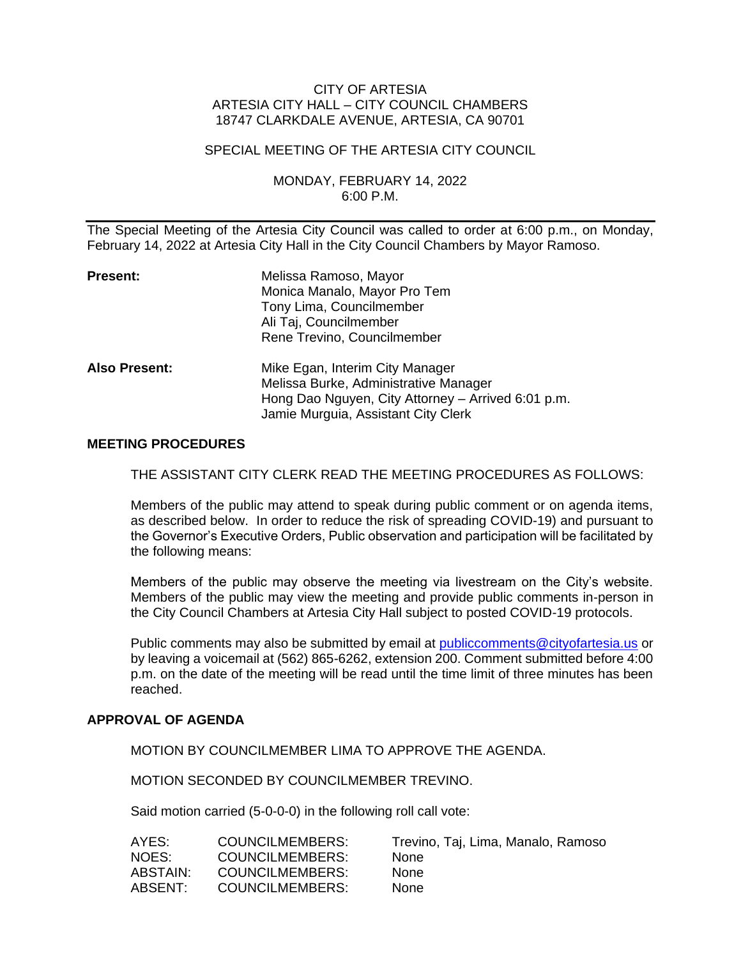### CITY OF ARTESIA ARTESIA CITY HALL – CITY COUNCIL CHAMBERS 18747 CLARKDALE AVENUE, ARTESIA, CA 90701

#### SPECIAL MEETING OF THE ARTESIA CITY COUNCIL

### MONDAY, FEBRUARY 14, 2022 6:00 P.M.

The Special Meeting of the Artesia City Council was called to order at 6:00 p.m., on Monday, February 14, 2022 at Artesia City Hall in the City Council Chambers by Mayor Ramoso.

| <b>Present:</b> | Melissa Ramoso, Mayor<br>Monica Manalo, Mayor Pro Tem<br>Tony Lima, Councilmember<br>Ali Taj, Councilmember<br>Rene Trevino, Councilmember                            |
|-----------------|-----------------------------------------------------------------------------------------------------------------------------------------------------------------------|
| Also Present:   | Mike Egan, Interim City Manager<br>Melissa Burke, Administrative Manager<br>Hong Dao Nguyen, City Attorney - Arrived 6:01 p.m.<br>Jamie Murguia, Assistant City Clerk |

#### **MEETING PROCEDURES**

THE ASSISTANT CITY CLERK READ THE MEETING PROCEDURES AS FOLLOWS:

Members of the public may attend to speak during public comment or on agenda items, as described below. In order to reduce the risk of spreading COVID-19) and pursuant to the Governor's Executive Orders, Public observation and participation will be facilitated by the following means:

Members of the public may observe the meeting via livestream on the City's website. Members of the public may view the meeting and provide public comments in-person in the City Council Chambers at Artesia City Hall subject to posted COVID-19 protocols.

Public comments may also be submitted by email at [publiccomments@cityofartesia.us](mailto:publiccomments@cityofartesia.us) or by leaving a voicemail at (562) 865-6262, extension 200. Comment submitted before 4:00 p.m. on the date of the meeting will be read until the time limit of three minutes has been reached.

#### **APPROVAL OF AGENDA**

MOTION BY COUNCILMEMBER LIMA TO APPROVE THE AGENDA.

MOTION SECONDED BY COUNCILMEMBER TREVINO.

Said motion carried (5-0-0-0) in the following roll call vote:

| AYES:    | COUNCILMEMBERS: | Trevino, Taj, Lima, Manalo, Ramoso |
|----------|-----------------|------------------------------------|
| NOES:    | COUNCILMEMBERS: | <b>None</b>                        |
| ABSTAIN: | COUNCILMEMBERS: | <b>None</b>                        |
| ABSENT:  | COUNCILMEMBERS: | <b>None</b>                        |